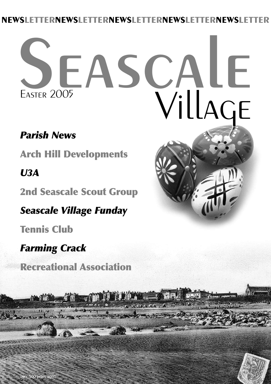#### **NEWSLETTERNEWSLETTERNEWSLETTERNEWSLETTERNEWSLETTER**

# SEASCALE **EASTER 2005**

**INCORPORATION** 

#### *Parish News*

**Arch Hill Developments**

#### *U3A*

**2nd Seascale Scout Group**

*Seascale Village Funday*

**Tennis Club**

#### *Farming Crack*

**Recreational Association**

 $\sim$   $\sim$ 



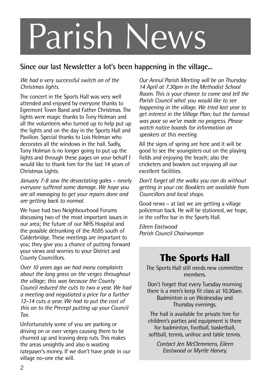## Parish News

#### **Since our last Newsletter a lot's been happening in the village...**

#### *We had a very successful switch on of the Christmas lights.*

The concert in the Sports Hall was very well attended and enjoyed by everyone thanks to Egremont Town Band and Father Christmas. The lights were magic thanks to Tony Holman and all the volunteers who turned up to help put up the lights and on the day in the Sports Hall and Pavilion. Special thanks to Lois Holman who decorates all the windows in the hall. Sadly, Tony Holman is no longer going to put up the lights and through these pages on your behalf I would like to thank him for the last 14 years of Christmas Lights.

*January 7-8 saw the devastating gales – nearly everyone suffered some damage. We hope you are all managing to get your repairs done and are getting back to normal.*

We have had two Neighbourhood Forums discussing two of the most important issues in our area; the future of our NHS Hospital and the possible detrunking of the A595 south of Calderbridge. These meetings are important to you; they give you a chance of putting forward your views and worries to your District and County Councillors.

*Over 10 years ago we had many complaints about the long grass on the verges throughout the village; this was because the County Council reduced the cuts to two a year. We had a meeting and negotiated a price for a further 12-14 cuts a year. We had to put the cost of this on to the Precept putting up your Council Tax.*

Unfortunately some of you are parking or driving on or over verges causing them to be churned up and leaving deep ruts. This makes the areas unsightly and also is wasting ratepayer's money. If we don't have pride in our village no-one else will.

*Our Annul Parish Meeting will be on Thursday 14 April at 7.30pm in the Methodist School Room. This is your chance to come and tell the Parish Council what you would like to see happening in the village. We tried last year to get interest in the Village Plan; but the turnout was poor so we've made no progress. Please watch notice boards for information on speakers at this meeting.*

All the signs of spring are here and it will be good to see the youngsters out on the playing fields and enjoying the beach; also the cricketers and bowlers out enjoying all our excellent facilities.

*Don't forget all the walks you can do without getting in your car. Booklets are available from Councillors and local shops.*

Good news – at last we are getting a village policeman back. He will be stationed, we hope, in the coffee bar in the Sports Hall.

*Eileen Eastwood Parish Council Chairwoman*

#### **The Sports Hall**

The Sports Hall still needs new committee members.

Don't forget that every Tuesday morning there is a men's keep fit class at 10.30am. Badminton is on Wednesday and Thursday evenings.

The hall is available for private hire for children's parties and equipment is there for badminton, football, basketball, softball, tennis, unihoc and table tennis.

*Contact Jen McClemmens, Eileen Eastwood or Myrtle Harvey.*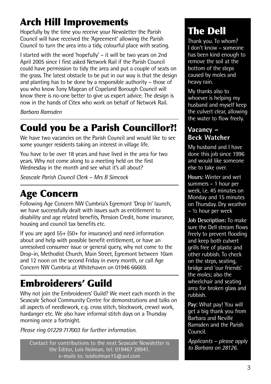#### **Arch Hill Improvements**

Hopefully by the time you receive your Newsletter the Parish Council will have received the 'Agreement' allowing the Parish Council to turn the area into a tidy, colourful place with seating.

I started with the word 'hopefully' – it will be two years on 2nd April 2005 since I first asked Network Rail if the Parish Council could have permission to tidy the area and put a couple of seats on the grass. The latest obstacle to be put in our way is that the design and planting has to be done by a responsible authority – those of you who know Tony Magean of Copeland Borough Council will know there is no-one better to give us expert advice. The design is now in the hands of Citex who work on behalf of Network Rail.

*Barbara Ramsden*

#### **Could you be a Parish Councillor?!**

We have two vacancies on the Parish Council and would like to see some younger residents taking an interest in village life.

You have to be over 18 years and have lived in the area for two years. Why not come along to a meeting held on the first Wednesday in the month and see what it's all about?

*Seascale Parish Council Clerk – Mrs B Simcock*

#### **Age Concern**

Following Age Concern NW Cumbria's Egremont 'Drop In' launch, we have successfully dealt with issues such as entitlement to disability and age related benefits, Pension Credit, home insurance, housing and council tax benefits etc.

If you are aged 55+ (50+ for insurance) and need information about and help with possible benefit entitlement, or have an unresolved consumer issue or general query, why not come to the Drop-in, Methodist Church, Main Street, Egremont between 10am and 12 noon on the second Friday in every month, or call Age Concern NW Cumbria at Whitehaven on 01946 66669.

#### **Embroiderers' Guild**

Why not join the Embroiderers' Guild? We meet each month in the Seascale School Community Centre for demonstrations and talks on all aspects of needlework, e.g. cross stitch, blockwork, crewel work, hardanger etc. We also have informal stitch days on a Thursday morning once a fortnight.

*Please ring 01229 717003 for further information.*

*to Barbara on 28126.* Contact for contributions to the next Seascale Newsletter is the Editor, Lois Holman, tel: 019467 28941. e-mails to: loisholman15@aol.com

#### **The Dell**

Thank you. To whom? I don't know – someone has been kind enough to remove the soil at the bottom of the steps caused by moles and heavy rain.

My thanks also to whoever is helping my husband and myself keep the culvert clear, allowing the water to flow freely.

#### **Vacancy – Beck Watcher**

My husband and I have done this job since 1996 and would like someone else to take over.

**Hours:** Winter and wet summers – 1 hour per week, i.e. 45 minutes on Monday and 15 minutes on Thursday. Dry weather – ½ hour per week

**Job Description:** To make sure the Dell stream flows freely to prevent flooding and keep both culvert grills free of plastic and other rubbish. To check on the steps, seating, bridge and 'our friends' the moles; also the wheelchair and seating area for broken glass and rubbish.

**Pay:** What pay! You will get a big thank you from Barbara and Neville Ramsden and the Parish Council.

*Applicants – please apply*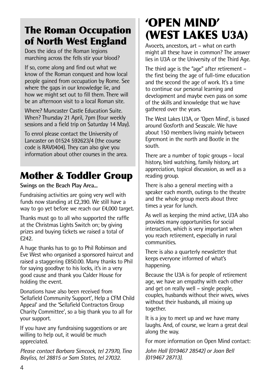#### **The Roman Occupation of North West England**

Does the idea of the Roman legions marching across the fells stir your blood?

If so, come along and find out what we know of the Roman conquest and how local people gained from occupation by Rome. See where the gaps in our knowledge lie, and how we might set out to fill them. There will be an afternoon visit to a local Roman site.

Where? Muncaster Castle Education Suite. When? Thursday 21 April, 7pm (four weekly sessions and a field trip on Saturday 14 May).

To enrol please contact the University of Lancaster on 01524 592623/4 (the course code is RAV0404). They can also give you information about other courses in the area.

#### **Mother & Toddler Group**

#### **Swings on the Beach Play Area...**

Fundraising activities are going very well with funds now standing at £2,390. We still have a way to go yet before we reach our £4,000 target.

Thanks must go to all who supported the raffle at the Christmas Lights Switch on; by giving prizes and buying tickets we raised a total of  $f242$ 

A huge thanks has to go to Phil Robinson and Eve West who organised a sponsored haircut and raised a staggering £850.00. Many thanks to Phil for saying goodbye to his locks, it's in a very good cause and thank you Calder House for holding the event.

Donations have also been received from 'Sellafield Community Support', Help a CFM Child Appeal' and the 'Sellafield Contractors Group Charity Committee', so a big thank you to all for your support.

If you have any fundraising suggestions or are willing to help out, it would be much appreciated.

*Please contact Barbara Simcock, tel 27970, Tina Bayliss, tel 28815 or Sam States, tel 27032.*

#### **'OPEN MIND' (WEST LAKES U3A)**

Avocets, ancestors, art – what on earth might all these have in common? The answer lies in U3A or the University of the Third Age.

The third age is the "age" after retirement – the first being the age of full-time education and the second the age of work. It's a time to continue our personal learning and development and maybe even pass on some of the skills and knowledge that we have gathered over the years.

The West Lakes U3A, or 'Open Mind', is based around Gosforth and Seascale. We have about 150 members living mainly between Egremont in the north and Bootle in the south.

There are a number of topic groups – local history, bird watching, family history, art appreciation, topical discussion, as well as a reading group.

There is also a general meeting with a speaker each month, outings to the theatre and the whole group meets about three times a year for lunch.

As well as keeping the mind active, U3A also provides many opportunities for social interaction, which is very important when you reach retirement, especially in rural communities.

There is also a quarterly newsletter that keeps everyone informed of what's happening.

Because the U3A is for people of retirement age, we have an empathy with each other and get on really well – single people, couples, husbands without their wives, wives without their husbands, all mixing up together.

It is a joy to meet up and we have many laughs. And, of course, we learn a great deal along the way.

For more information on Open Mind contact:

*John Hall (019467 28542) or Joan Bell (019467 28713).*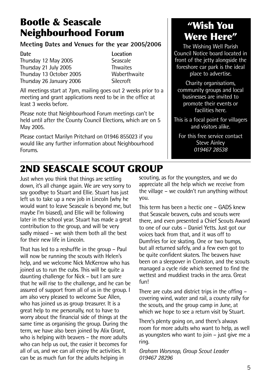#### **Bootle & Seascale Neighbourhood Forum**

#### **Meeting Dates and Venues for the year 2005/2006**

Thursday 12 May 2005<br>Thursday 21 July 2005 **Seascale** Thursday 21 July 2005 Thwaites Thursday 13 October 2005 **Waberth<br>Thursday 26 January 2006** Silecroft Thursday 26 January 2006

**Date Location**

All meetings start at 7pm, mailing goes out 2 weeks prior to a meeting and grant applications need to be in the office at least 3 weeks before.

Please note that Neighbourhood Forum meetings can't be held until after the County Council Elections, which are on 5 May 2005.

Please contact Marilyn Pritchard on 01946 855023 if you would like any further information about Neighbourhood Forums.

#### **"Wish You Were Here"**

The Wishing Well Parish Council Notice board located in front of the jetty alongside the foreshore car park is the ideal place to advertise.

Charity organisations, community groups and local businesses are invited to promote their events or facilities here.

This is a focal point for villagers and visitors alike.

For this free service contact Steve Ainley *019467 28538*

#### **2ND SEASCALE SCOUT GROUP**

Just when you think that things are settling down, it's all change again. We are very sorry to say goodbye to Stuart and Ellie. Stuart has just left us to take up a new job in Lincoln (why he would want to leave Seascale is beyond me, but maybe I'm biased), and Ellie will be following later in the school year. Stuart has made a great contribution to the group, and will be very sadly missed – we wish them both all the best for their new life in Lincoln.

That has led to a reshuffle in the group – Paul will now be running the scouts with Helen's help, and we welcome Nick McKerrow who has joined us to run the cubs. This will be quite a daunting challenge for Nick – but I am sure that he will rise to the challenge, and he can be assured of support from all of us in the group. I am also very pleased to welcome Sue Allen, who has joined us as group treasurer. It is a great help to me personally, not to have to worry about the financial side of things at the same time as organising the group. During the term, we have also been joined by Alix Grant, who is helping with beavers - the more adults who can help us out, the easier it becomes for all of us, and we can all enjoy the activities. It can be as much fun for the adults helping in

scouting, as for the youngsters, and we do appreciate all the help which we receive from the village – we couldn't run anything without you.

This term has been a hectic one – GADS knew that Seascale beavers, cubs and scouts were there, and even presented a Chief Scouts Award to one of our cubs – Daniel Yetts. Just got our voices back from that, and it was off to Dumfries for ice skating. One or two bumps, but all returned safely, and a few even got to be quite confident skaters. The beavers have been on a sleepover in Coniston, and the scouts managed a cycle ride which seemed to find the wettest and muddiest tracks in the area. Great fun!

There are cubs and district trips in the offing – covering wind, water and rail, a county rally for the scouts, and the group camp in June, at which we hope to see a return visit by Stuart.

There's plenty going on, and there's always room for more adults who want to help, as well as voungsters who want to join – just give me a ring.

*Graham Worsnop, Group Scout Leader 019467 28296*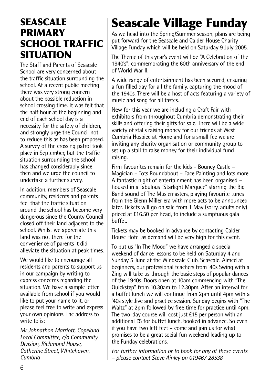#### **SEASCALE PRIMARY SCHOOL TRAFFIC SITUATION**

The Staff and Parents of Seascale School are very concerned about the traffic situation surrounding the school. At a recent public meeting there was very strong concern about the possible reduction in school crossing time. It was felt that the half hour at the beginning and end of each school day is a necessity for the safety of children, and strongly urge the Council not to reduce this as has been proposed. A survey of the crossing patrol took place in September, but the traffic situation surrounding the school has changed considerably since then and we urge the council to undertake a further survey.

In addition, members of Seascale community, residents and parents feel that the traffic situation around the school has become very dangerous since the County Council closed off their land adjacent to the school. Whilst we appreciate this land was not there for the convenience of parents it did alleviate the situation at peak times.

We would like to encourage all residents and parents to support us in our campaign by writing to express concerns regarding the situation. We have a sample letter available from school if you would like to put your name to it, or please feel free to write and express your own opinions. The address to write to is:

*Mr Johnathon Marriott, Copeland Local Committee, c/o Community Division, Richmond House, Catherine Street, Whitehaven, Cumbria*

### **Seascale Village Funday**

As we head into the Spring/Summer season, plans are being put forward for the Seascale and Calder House Charity Village Funday which will be held on Saturday 9 July 2005.

The Theme of this year's event will be "A Celebration of the 1940's", commemorating the 60th anniversary of the end of World War II.

A wide range of entertainment has been secured, ensuring a fun filled day for all the family, capturing the mood of the 1940s. There will be a host of acts featuring a variety of music and song for all tastes.

New for this year we are including a Craft Fair with exhibitors from throughout Cumbria demonstrating their skills and offering their gifts for sale. There will be a wide variety of stalls raising money for our friends at West Cumbria Hospice at Home and for a small fee we are inviting any charity organisation or community group to set up a stall to raise money for their individual fund raising.

Firm favourites remain for the kids – Bouncy Castle – Magician – Tots Roundabout – Face Painting and lots more. A fantastic night of entertainment has been organised – housed in a fabulous "Starlight Marquee" starring the Big Band sound of The Musicmasters, playing favourite tunes from the Glenn Miller era with more acts to be announced later. Tickets will go on sale from 1 May (sorry, adults only) priced at £16.50 per head, to include a sumptuous gala buffet.

Tickets may be booked in advance by contacting Calder House Hotel as demand will be very high for this event.

To put us "In The Mood" we have arranged a special weekend of dance lessons to be held on Saturday 4 and Sunday 5 June at the Windscale Club, Seascale. Aimed at beginners, our professional teachers from '40s Swing with a Zing will take us through the basic steps of popular dances of the 1940s. Doors open at 10am commencing with "The Quickstep" from 10.30am to 12.30pm. After an interval for a buffet lunch we will continue from 2pm until 4pm with a '40s style Jive and practice session. Sunday begins with "The Waltz" at 2pm followed by free time for practice until 4pm. The two-day course will cost just £15 per person with an additional £5 for buffet lunch, booked in advance. So even if you have two left feet – come and join us for what promises to be a great social fun weekend leading up to the Funday celebrations.

*For further information or to book for any of these events – please contact Steve Ainley on 019467 28538*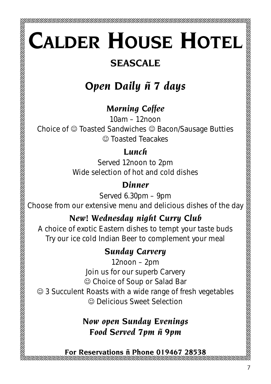## **CALDER HOUSE HOTEL**

#### **SEASCALE**

#### *Open Daily ñ 7 days*

#### *Morning Coffee*

10am – 12noon

Choice of  $\odot$  Toasted Sandwiches  $\odot$  Bacon/Sausage Butties  $\odot$  Toasted Teacakes

#### *Lunch*

Served 12noon to 2pm Wide selection of hot and cold dishes

#### *Dinner*

Served 6.30pm – 9pm

Choose from our extensive menu and delicious dishes of the day

#### *New! Wednesday night Curry Club*

A choice of exotic Eastern dishes to tempt your taste buds Try our ice cold Indian Beer to complement your meal

#### *Sunday Carvery*

12noon – 2pm Join us for our superb Carvery  $\odot$  Choice of Soup or Salad Bar

 $\odot$  3 Succulent Roasts with a wide range of fresh vegetables  $\odot$  Delicious Sweet Selection

#### *Now open Sunday Evenings Food Served 7pm ñ 9pm*

**For Reservations ñ Phone 019467 28538**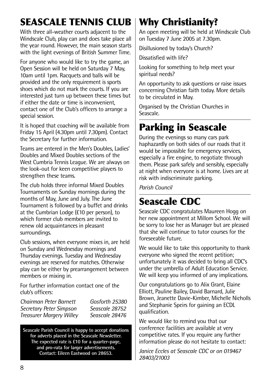#### **SEASCALE TENNIS CLUB**

With three all-weather courts adjacent to the Windscale Club, play can and does take place all the year round. However, the main season starts with the light evenings of British Summer Time.

For anyone who would like to try the game, an Open Session will be held on Saturday 7 May, 10am until 1pm. Racquets and balls will be provided and the only requirement is sports shoes which do not mark the courts. If you are interested just turn up between these times but if either the date or time is inconvenient, contact one of the Club's officers to arrange a special session.

It is hoped that coaching will be available from Friday 15 April (4.30pm until 7.30pm). Contact the Secretary for further information.

Teams are entered in the Men's Doubles, Ladies' Doubles and Mixed Doubles sections of the West Cumbria Tennis League. We are always on the look-out for keen competitive players to strengthen these teams.

The club holds three informal Mixed Doubles Tournaments on Sunday mornings during the months of May, June and July. The June Tournament is followed by a buffet and drinks at the Cumbrian Lodge (£10 per person), to which former club members are invited to renew old acquaintances in pleasant surroundings.

Club sessions, when everyone mixes in, are held on Sunday and Wednesday mornings and Thursday evenings. Tuesday and Wednesday evenings are reserved for matches. Otherwise play can be either by prearrangement between members or mixing in.

For further information contact one of the club's officers:

*Chairman Peter Barnett Gosforth 25380 Secretary Peter Simpson Seascale 28752 Treasurer Margery Willey Seascale 28476*

**Seascale Parish Council is happy to accept donations for adverts placed in the Seascale Newsletter. The expected rate is £10 for a quarter-page, and pro-rata for larger advertisements. Contact: Eileen Eastwood on 28653.**

#### **Why Christianity?**

An open meeting will be held at Windscale Club on Tuesday 7 June 2005 at 7.30pm.

Disillusioned by today's Church?

Dissatisfied with life?

Looking for something to help meet your spiritual needs?

An opportunity to ask questions or raise issues concerning Christian faith today. More details to be circulated in May.

Organised by the Christian Churches in Seascale.

#### **Parking in Seascale**

During the evenings so many cars park haphazardly on both sides of our roads that it would be impossible for emergency services, especially a fire engine, to negotiate through them. Please park safely and sensibly, especially at night when everyone is at home. Lives are at risk with indiscriminate parking.

*Parish Council*

#### **Seascale CDC**

Seascale CDC congratulates Maureen Hogg on her new appointment at Millom School. We will be sorry to lose her as Manager but are pleased that she will continue to tutor courses for the foreseeable future.

We would like to take this opportunity to thank everyone who signed the recent petition; unfortunately it was decided to bring all CDC's under the umbrella of Adult Education Service. We will keep you informed of any implications.

Our congratulations go to Alix Grant, Elaine Elliott, Pauline Bailey, David Barnard, Julie Brown, Jeanette Davie-Kimber, Michelle Nicholls and Stephanie Speirs for gaining an ECDL qualification.

We would like to remind you that our conference facilities are available at very competitive rates. If you require any further information please do not hesitate to contact:

*Janice Eccles at Seascale CDC or on 019467 28403/21003*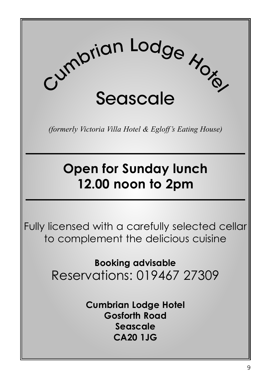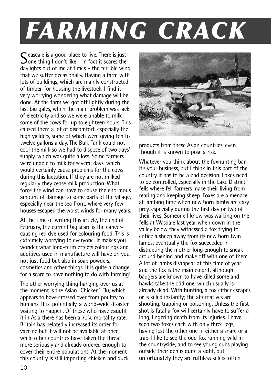### *FARMING CRACK*

Seascale is a good place to live. There is just<br>Sone thing I don't like – in fact it scares the<br>dealinkts out of me of times – the terrible win daylights out of me at times – the terrible wind that we suffer occasionally. Having a farm with lots of buildings, which are mainly constructed of timber, for housing the livestock, I find it very worrying wondering what damage will be done. At the farm we got off lightly during the last big gales, when the main problem was lack of electricity and so we were unable to milk some of the cows for up to eighteen hours. This caused them a lot of discomfort, especially the high yielders, some of which were giving ten to twelve gallons a day. The Bulk Tank could not cool the milk so we had to dispose of two days' supply, which was quite a loss. Some farmers were unable to milk for several days, which would certainly cause problems for the cows during this lactation. If they are not milked regularly they cease milk production. What force the wind can have to cause the enormous amount of damage to some parts of the village, especially near the sea front, where very few houses escaped the worst winds for many years.

At the time of writing this article, the end of February, the current big scare is the cancercausing red dye used for colouring food. This is extremely worrying to everyone. It makes you wonder what long-term effects colourings and additives used in manufacture will have on you, not just food but also in soap powders, cosmetics and other things. It is quite a change for a scare to have nothing to do with farming!

The other worrying thing hanging over us at the moment is the Asian "Chicken" Flu, which appears to have crossed over from poultry to humans. It is, potentially, a world-wide disaster waiting to happen. Of those who have caught it in Asia there has been a 70% mortality rate. Britain has belatedly increased its order for vaccine but it will not be available at once, while other countries have taken the threat more seriously and already ordered enough to cover their entire populations. At the moment this country is still importing chicken and duck



products from these Asian countries, even though it is known to pose a risk.

Whatever you think about the foxhunting ban it's your business, but I think in this part of the country it has to be a bad decision. Foxes need to be controlled, especially in the Lake District fells where fell farmers make their living from rearing and keeping sheep. Foxes are a menace at lambing time when new born lambs are easy prey, especially during the first day or two of their lives. Someone I know was walking on the fells at Wasdale last year when down in the valley below they witnessed a fox trying to entice a sheep away from its new born twin lambs; eventually the fox succeeded in distracting the mother long enough to sneak around behind and make off with one of them. A lot of lambs disappear at this time of year and the fox is the main culprit, although badgers are known to have killed some and hawks take the odd one, which usually is already dead. With hunting, a fox either escapes or is killed instantly; the alternatives are shooting, trapping or poisoning. Unless the first shot is fatal a fox will certainly have to suffer a long, lingering death from its injuries. I have seen two foxes each with only three legs. having lost the other one in either a snare or a trap. I like to see the odd fox running wild in the countryside, and to see young cubs playing outside their den is quite a sight, but unfortunately they are ruthless killers, often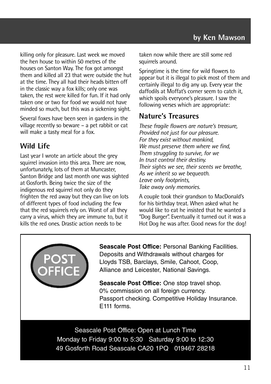killing only for pleasure. Last week we moved the hen house to within 50 metres of the houses on Santon Way. The fox got amongst them and killed all 23 that were outside the hut at the time. They all had their heads bitten off in the classic way a fox kills; only one was taken, the rest were killed for fun. If it had only taken one or two for food we would not have minded so much, but this was a sickening sight.

Several foxes have been seen in gardens in the village recently so beware – a pet rabbit or cat will make a tasty meal for a fox.

#### **Wild Life**

Last year I wrote an article about the grey squirrel invasion into this area. There are now, unfortunately, lots of them at Muncaster, Santon Bridge and last month one was sighted at Gosforth. Being twice the size of the indigenous red squirrel not only do they frighten the red away but they can live on lots of different types of food including the few that the red squirrels rely on. Worst of all they carry a virus, which they are immune to, but it kills the red ones. Drastic action needs to be

taken now while there are still some red squirrels around.

Springtime is the time for wild flowers to appear but it is illegal to pick most of them and certainly illegal to dig any up. Every year the daffodils at Moffat's corner seem to catch it, which spoils everyone's pleasure. I saw the following verses which are appropriate:

#### **Nature's Treasures**

*These fragile flowers are nature's treasure, Provided not just for our pleasure. For they exist without mankind, We must preserve them where we find, Them struggling to survive, for we In trust control their destiny. Their sights we see, their scents we breathe, As we inherit so we bequeath. Leave only footprints, Take away only memories.*

A couple took their grandson to MacDonald's for his birthday treat. When asked what he would like to eat he insisted that he wanted a "Dog Burger". Eventually it turned out it was a Hot Dog he was after. Good news for the dog!



**Seascale Post Office:** Personal Banking Facilities. Deposits and Withdrawals without charges for Lloyds TSB, Barclays, Smile, Cahoot, Coop, Alliance and Leicester, National Savings.

**Seascale Post Office:** One stop travel shop. 0% commission on all foreign currency. Passport checking. Competitive Holiday Insurance. E111 forms.

Seascale Post Office: Open at Lunch Time Monday to Friday 9:00 to 5:30 Saturday 9:00 to 12:30 49 Gosforth Road Seascale CA20 1PQ 019467 28218